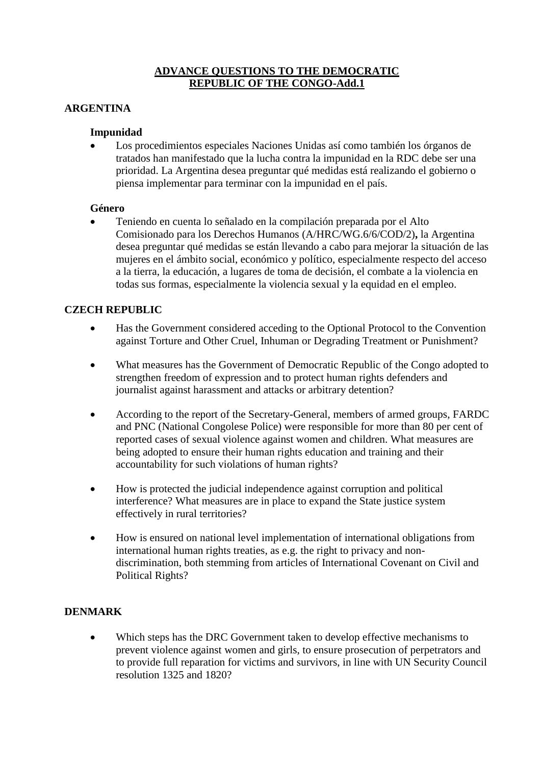## **ADVANCE QUESTIONS TO THE DEMOCRATIC REPUBLIC OF THE CONGO-Add.1**

## **ARGENTINA**

#### **Impunidad**

 Los procedimientos especiales Naciones Unidas así como también los órganos de tratados han manifestado que la lucha contra la impunidad en la RDC debe ser una prioridad. La Argentina desea preguntar qué medidas está realizando el gobierno o piensa implementar para terminar con la impunidad en el país.

#### **Género**

 Teniendo en cuenta lo señalado en la compilación preparada por el Alto Comisionado para los Derechos Humanos (A/HRC/WG.6/6/COD/2)**,** la Argentina desea preguntar qué medidas se están llevando a cabo para mejorar la situación de las mujeres en el ámbito social, económico y político, especialmente respecto del acceso a la tierra, la educación, a lugares de toma de decisión, el combate a la violencia en todas sus formas, especialmente la violencia sexual y la equidad en el empleo.

#### **CZECH REPUBLIC**

- Has the Government considered acceding to the Optional Protocol to the Convention against Torture and Other Cruel, Inhuman or Degrading Treatment or Punishment?
- What measures has the Government of Democratic Republic of the Congo adopted to strengthen freedom of expression and to protect human rights defenders and journalist against harassment and attacks or arbitrary detention?
- According to the report of the Secretary-General, members of armed groups, FARDC and PNC (National Congolese Police) were responsible for more than 80 per cent of reported cases of sexual violence against women and children. What measures are being adopted to ensure their human rights education and training and their accountability for such violations of human rights?
- How is protected the judicial independence against corruption and political interference? What measures are in place to expand the State justice system effectively in rural territories?
- How is ensured on national level implementation of international obligations from international human rights treaties, as e.g. the right to privacy and nondiscrimination, both stemming from articles of International Covenant on Civil and Political Rights?

#### **DENMARK**

 Which steps has the DRC Government taken to develop effective mechanisms to prevent violence against women and girls, to ensure prosecution of perpetrators and to provide full reparation for victims and survivors, in line with UN Security Council resolution 1325 and 1820?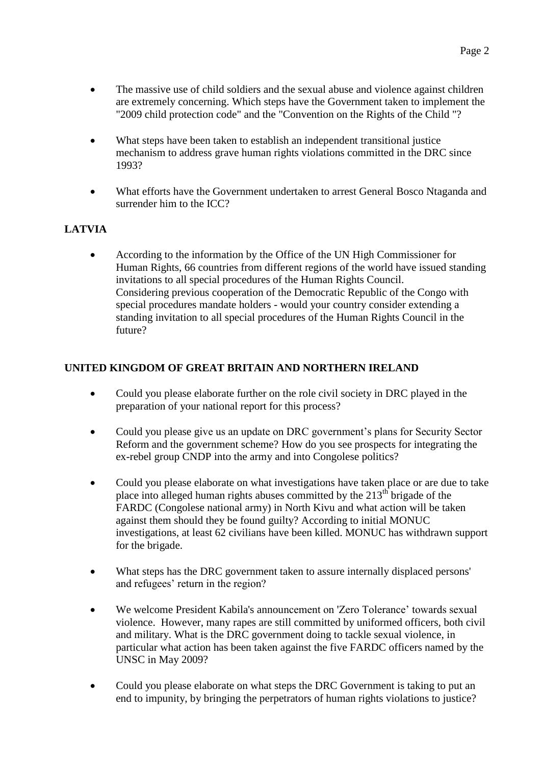- What steps have been taken to establish an independent transitional justice mechanism to address grave human rights violations committed in the DRC since 1993?
- What efforts have the Government undertaken to arrest General Bosco Ntaganda and surrender him to the ICC?

# **LATVIA**

 According to the information by the Office of the UN High Commissioner for Human Rights, 66 countries from different regions of the world have issued standing invitations to all special procedures of the Human Rights Council. Considering previous cooperation of the Democratic Republic of the Congo with special procedures mandate holders - would your country consider extending a standing invitation to all special procedures of the Human Rights Council in the future?

## **UNITED KINGDOM OF GREAT BRITAIN AND NORTHERN IRELAND**

- Could you please elaborate further on the role civil society in DRC played in the preparation of your national report for this process?
- Could you please give us an update on DRC government's plans for Security Sector Reform and the government scheme? How do you see prospects for integrating the ex-rebel group CNDP into the army and into Congolese politics?
- Could you please elaborate on what investigations have taken place or are due to take place into alleged human rights abuses committed by the  $213<sup>th</sup>$  brigade of the FARDC (Congolese national army) in North Kivu and what action will be taken against them should they be found guilty? According to initial MONUC investigations, at least 62 civilians have been killed. MONUC has withdrawn support for the brigade.
- What steps has the DRC government taken to assure internally displaced persons' and refugees' return in the region?
- We welcome President Kabila's announcement on 'Zero Tolerance' towards sexual violence. However, many rapes are still committed by uniformed officers, both civil and military. What is the DRC government doing to tackle sexual violence, in particular what action has been taken against the five FARDC officers named by the UNSC in May 2009?
- Could you please elaborate on what steps the DRC Government is taking to put an end to impunity, by bringing the perpetrators of human rights violations to justice?